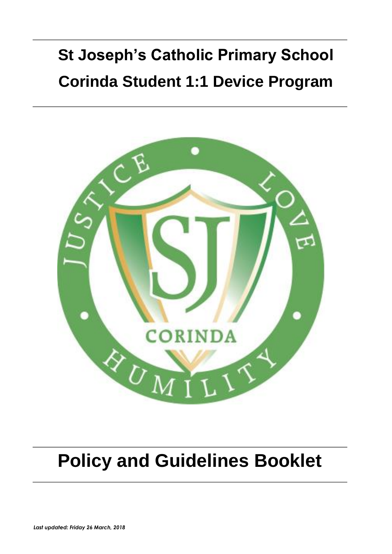# **St Joseph's Catholic Primary School Corinda Student 1:1 Device Program**



## **Policy and Guidelines Booklet**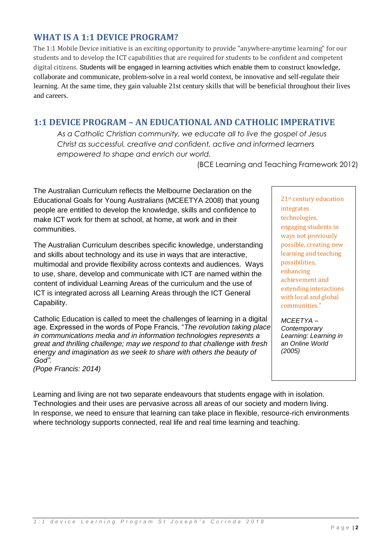### **WHAT IS A 1:1 DEVICE PROGRAM?**

The 1:1 Mobile Device initiative is an exciting opportunity to provide "anywhere-anytime learning" for our students and to develop the ICT capabilities that are required for students to be confident and competent digital citizens. Students will be engaged in learning activities which enable them to construct knowledge, collaborate and communicate, problem-solve in a real world context, be innovative and self-regulate their learning. At the same time, they gain valuable 21st century skills that will be beneficial throughout their lives and careers.

## **1:1 DEVICE PROGRAM – AN EDUCATIONAL AND CATHOLIC IMPERATIVE**

*As a Catholic Christian community, we educate all to live the gospel of Jesus Christ as successful, creative and confident, active and informed learners empowered to shape and enrich our world.*

(BCE Learning and Teaching Framework 2012)

The Australian Curriculum reflects the Melbourne Declaration on the Educational Goals for Young Australians (MCEETYA 2008) that young people are entitled to develop the knowledge, skills and confidence to make ICT work for them at school, at home, at work and in their communities.

The Australian Curriculum describes specific knowledge, understanding and skills about technology and its use in ways that are interactive, multimodal and provide flexibility across contexts and audiences. Ways to use, share, develop and communicate with ICT are named within the content of individual Learning Areas of the curriculum and the use of ICT is integrated across all Learning Areas through the ICT General Capability.

Catholic Education is called to meet the challenges of learning in a digital age. Expressed in the words of Pope Francis, "*The revolution taking place in communications media and in information technologies represents a great and thrilling challenge; may we respond to that challenge with fresh energy and imagination as we seek to share with others the beauty of God".*

*(Pope Francis: 2014)*

21st century education integrates technologies, engaging students in ways not previously possible, creating new learning and teaching possibilities, enhancing achievement and extending interactions with local and global communities."

*MCEETYA – Contemporary Learning: Learning in an Online World (2005)*

Learning and living are not two separate endeavours that students engage with in isolation. Technologies and their uses are pervasive across all areas of our society and modern living. In response, we need to ensure that learning can take place in flexible, resource-rich environments where technology supports connected, real life and real time learning and teaching.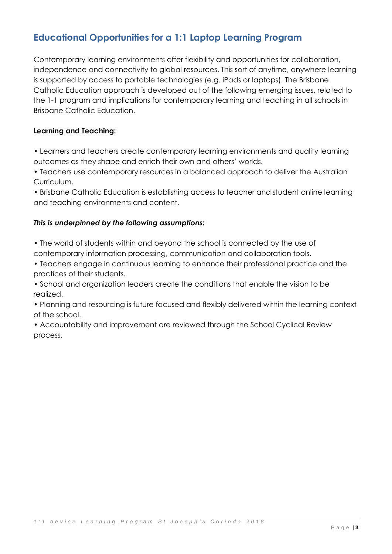## **Educational Opportunities for a 1:1 Laptop Learning Program**

Contemporary learning environments offer flexibility and opportunities for collaboration, independence and connectivity to global resources. This sort of anytime, anywhere learning is supported by access to portable technologies (e.g. iPads or laptops). The Brisbane Catholic Education approach is developed out of the following emerging issues, related to the 1-1 program and implications for contemporary learning and teaching in all schools in Brisbane Catholic Education.

#### **Learning and Teaching:**

• Learners and teachers create contemporary learning environments and quality learning outcomes as they shape and enrich their own and others' worlds.

• Teachers use contemporary resources in a balanced approach to deliver the Australian Curriculum.

• Brisbane Catholic Education is establishing access to teacher and student online learning and teaching environments and content.

#### *This is underpinned by the following assumptions:*

• The world of students within and beyond the school is connected by the use of contemporary information processing, communication and collaboration tools.

• Teachers engage in continuous learning to enhance their professional practice and the practices of their students.

• School and organization leaders create the conditions that enable the vision to be realized.

• Planning and resourcing is future focused and flexibly delivered within the learning context of the school.

• Accountability and improvement are reviewed through the School Cyclical Review process.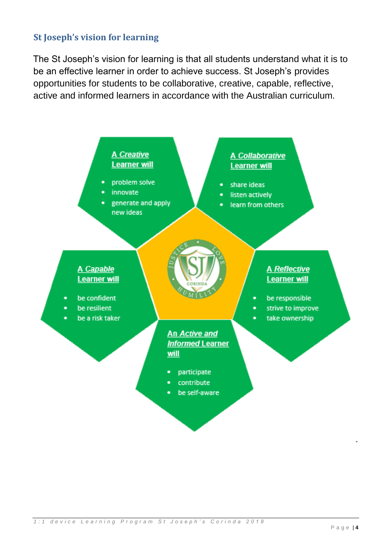## **St Joseph's vision for learning**

The St Joseph's vision for learning is that all students understand what it is to be an effective learner in order to achieve success. St Joseph's provides opportunities for students to be collaborative, creative, capable, reflective, active and informed learners in accordance with the Australian curriculum.

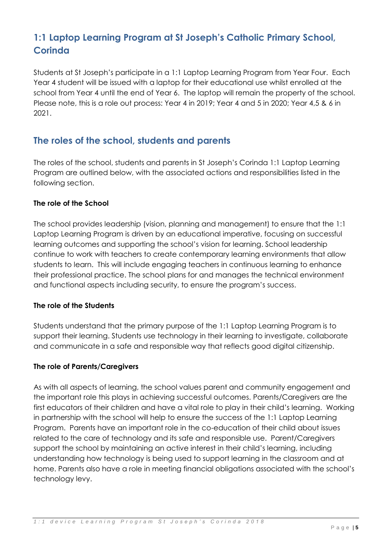## **1:1 Laptop Learning Program at St Joseph's Catholic Primary School, Corinda**

Students at St Joseph's participate in a 1:1 Laptop Learning Program from Year Four. Each Year 4 student will be issued with a laptop for their educational use whilst enrolled at the school from Year 4 until the end of Year 6. The laptop will remain the property of the school. Please note, this is a role out process: Year 4 in 2019; Year 4 and 5 in 2020; Year 4,5 & 6 in 2021.

## **The roles of the school, students and parents**

The roles of the school, students and parents in St Joseph's Corinda 1:1 Laptop Learning Program are outlined below, with the associated actions and responsibilities listed in the following section.

#### **The role of the School**

The school provides leadership (vision, planning and management) to ensure that the 1:1 Laptop Learning Program is driven by an educational imperative, focusing on successful learning outcomes and supporting the school's vision for learning. School leadership continue to work with teachers to create contemporary learning environments that allow students to learn. This will include engaging teachers in continuous learning to enhance their professional practice. The school plans for and manages the technical environment and functional aspects including security, to ensure the program's success.

#### **The role of the Students**

Students understand that the primary purpose of the 1:1 Laptop Learning Program is to support their learning. Students use technology in their learning to investigate, collaborate and communicate in a safe and responsible way that reflects good digital citizenship.

#### **The role of Parents/Caregivers**

As with all aspects of learning, the school values parent and community engagement and the important role this plays in achieving successful outcomes. Parents/Caregivers are the first educators of their children and have a vital role to play in their child's learning. Working in partnership with the school will help to ensure the success of the 1:1 Laptop Learning Program. Parents have an important role in the co-education of their child about issues related to the care of technology and its safe and responsible use. Parent/Caregivers support the school by maintaining an active interest in their child's learning, including understanding how technology is being used to support learning in the classroom and at home. Parents also have a role in meeting financial obligations associated with the school's technology levy.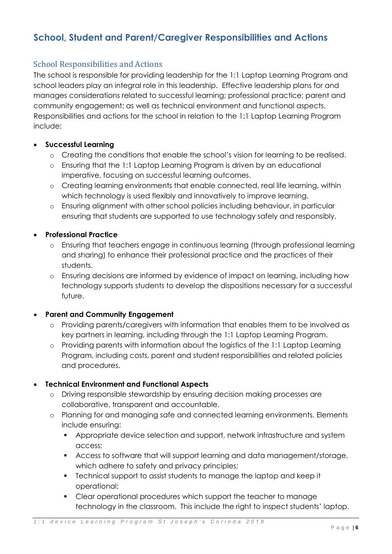## **School, Student and Parent/Caregiver Responsibilities and Actions**

#### School Responsibilities and Actions

The school is responsible for providing leadership for the 1:1 Laptop Learning Program and school leaders play an integral role in this leadership. Effective leadership plans for and manages considerations related to successful learning; professional practice; parent and community engagement; as well as technical environment and functional aspects. Responsibilities and actions for the school in relation to the 1:1 Laptop Learning Program include:

#### • **Successful Learning**

- o Creating the conditions that enable the school's vision for learning to be realised.
- o Ensuring that the 1:1 Laptop Learning Program is driven by an educational imperative, focusing on successful learning outcomes.
- o Creating learning environments that enable connected, real life learning, within which technology is used flexibly and innovatively to improve learning.
- o Ensuring alignment with other school policies including behaviour, in particular ensuring that students are supported to use technology safely and responsibly.

#### • **Professional Practice**

- o Ensuring that teachers engage in continuous learning (through professional learning and sharing) to enhance their professional practice and the practices of their students.
- o Ensuring decisions are informed by evidence of impact on learning, including how technology supports students to develop the dispositions necessary for a successful future.

#### • **Parent and Community Engagement**

- o Providing parents/caregivers with information that enables them to be involved as key partners in learning, including through the 1:1 Laptop Learning Program.
- o Providing parents with information about the logistics of the 1:1 Laptop Learning Program, including costs, parent and student responsibilities and related policies and procedures.

#### • **Technical Environment and Functional Aspects**

- o Driving responsible stewardship by ensuring decision making processes are collaborative, transparent and accountable.
- o Planning for and managing safe and connected learning environments. Elements include ensuring:
	- Appropriate device selection and support, network infrastructure and system access;
	- Access to software that will support learning and data management/storage, which adhere to safety and privacy principles;
	- Technical support to assist students to manage the laptop and keep it operational;
	- Clear operational procedures which support the teacher to manage technology in the classroom. This include the right to inspect students' laptop.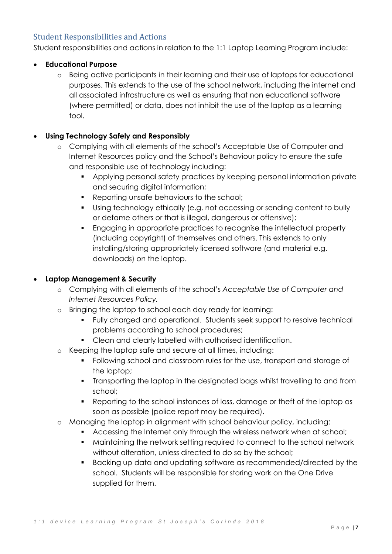#### Student Responsibilities and Actions

Student responsibilities and actions in relation to the 1:1 Laptop Learning Program include:

#### • **Educational Purpose**

o Being active participants in their learning and their use of laptops for educational purposes. This extends to the use of the school network, including the internet and all associated infrastructure as well as ensuring that non educational software (where permitted) or data, does not inhibit the use of the laptop as a learning tool.

#### • **Using Technology Safely and Responsibly**

- o Complying with all elements of the school's Acceptable Use of Computer and Internet Resources policy and the School's Behaviour policy to ensure the safe and responsible use of technology including:
	- Applying personal safety practices by keeping personal information private and securing digital information;
	- Reporting unsafe behaviours to the school;
	- Using technology ethically (e.g. not accessing or sending content to bully or defame others or that is illegal, dangerous or offensive);
	- Engaging in appropriate practices to recognise the intellectual property (including copyright) of themselves and others. This extends to only installing/storing appropriately licensed software (and material e.g. downloads) on the laptop.

#### • **Laptop Management & Security**

- o Complying with all elements of the school's *Acceptable Use of Computer and Internet Resources Policy.*
- o Bringing the laptop to school each day ready for learning:
	- Fully charged and operational. Students seek support to resolve technical problems according to school procedures;
	- Clean and clearly labelled with authorised identification.
- o Keeping the laptop safe and secure at all times, including:
	- Following school and classroom rules for the use, transport and storage of the laptop;
	- Transporting the laptop in the designated bags whilst travelling to and from school;
	- Reporting to the school instances of loss, damage or theft of the laptop as soon as possible (police report may be required).
- o Managing the laptop in alignment with school behaviour policy, including:
	- **EXE** Accessing the Internet only through the wireless network when at school;
	- Maintaining the network setting required to connect to the school network without alteration, unless directed to do so by the school;
	- Backing up data and updating software as recommended/directed by the school. Students will be responsible for storing work on the One Drive supplied for them.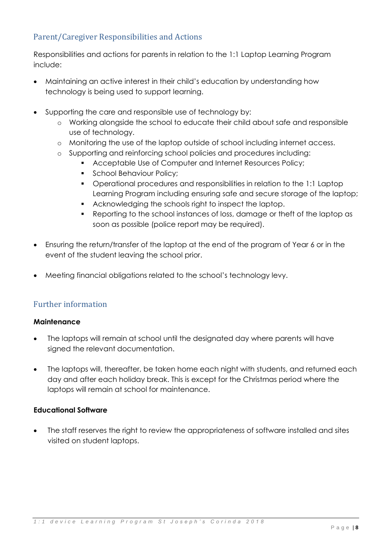## Parent/Caregiver Responsibilities and Actions

Responsibilities and actions for parents in relation to the 1:1 Laptop Learning Program include:

- Maintaining an active interest in their child's education by understanding how technology is being used to support learning.
- Supporting the care and responsible use of technology by:
	- o Working alongside the school to educate their child about safe and responsible use of technology.
	- o Monitoring the use of the laptop outside of school including internet access.
	- o Supporting and reinforcing school policies and procedures including:
		- Acceptable Use of Computer and Internet Resources Policy;
		- **•** School Behaviour Policy;
		- Operational procedures and responsibilities in relation to the 1:1 Laptop Learning Program including ensuring safe and secure storage of the laptop;
		- Acknowledging the schools right to inspect the laptop.
		- Reporting to the school instances of loss, damage or theft of the laptop as soon as possible (police report may be required).
- Ensuring the return/transfer of the laptop at the end of the program of Year 6 or in the event of the student leaving the school prior.
- Meeting financial obligations related to the school's technology levy.

#### Further information

#### **Maintenance**

- The laptops will remain at school until the designated day where parents will have signed the relevant documentation.
- The laptops will, thereafter, be taken home each night with students, and returned each day and after each holiday break. This is except for the Christmas period where the laptops will remain at school for maintenance.

#### **Educational Software**

• The staff reserves the right to review the appropriateness of software installed and sites visited on student laptops.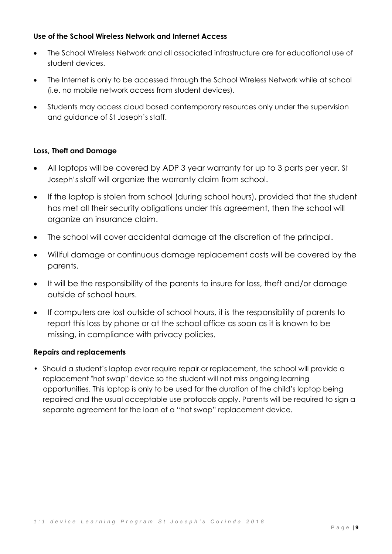#### **Use of the School Wireless Network and Internet Access**

- The School Wireless Network and all associated infrastructure are for educational use of student devices.
- The Internet is only to be accessed through the School Wireless Network while at school (i.e. no mobile network access from student devices).
- Students may access cloud based contemporary resources only under the supervision and guidance of St Joseph's staff.

#### **Loss, Theft and Damage**

- All laptops will be covered by ADP 3 year warranty for up to 3 parts per year. St Joseph's staff will organize the warranty claim from school.
- If the laptop is stolen from school (during school hours), provided that the student has met all their security obligations under this agreement, then the school will organize an insurance claim.
- The school will cover accidental damage at the discretion of the principal.
- Willful damage or continuous damage replacement costs will be covered by the parents.
- It will be the responsibility of the parents to insure for loss, theft and/or damage outside of school hours.
- If computers are lost outside of school hours, it is the responsibility of parents to report this loss by phone or at the school office as soon as it is known to be missing, in compliance with privacy policies.

#### **Repairs and replacements**

• Should a student's laptop ever require repair or replacement, the school will provide a replacement "hot swap" device so the student will not miss ongoing learning opportunities. This laptop is only to be used for the duration of the child's laptop being repaired and the usual acceptable use protocols apply. Parents will be required to sign a separate agreement for the loan of a "hot swap" replacement device.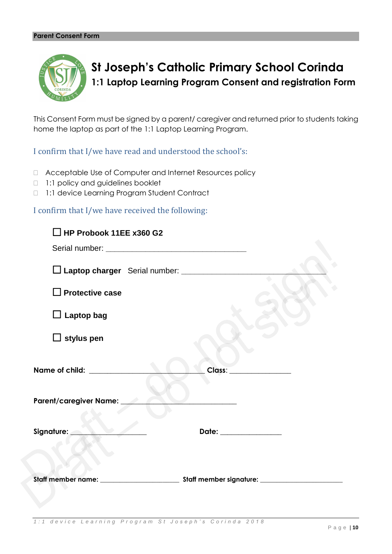

**St Joseph's Catholic Primary School Corinda 1:1 Laptop Learning Program Consent and registration Form**

This Consent Form must be signed by a parent/ caregiver and returned prior to students taking home the laptop as part of the 1:1 Laptop Learning Program.

I confirm that I/we have read and understood the school's:

- Acceptable Use of Computer and Internet Resources policy
- 1:1 policy and guidelines booklet
- 1:1 device Learning Program Student Contract

I confirm that I/we have received the following:

| $\Box$ HP Probook 11EE x360 G2                     |                        |                          |
|----------------------------------------------------|------------------------|--------------------------|
|                                                    |                        |                          |
| Laptop charger Serial number: ____________________ |                        |                          |
| $\Box$ Protective case                             |                        |                          |
| $\Box$ Laptop bag                                  |                        |                          |
| $\Box$ stylus pen                                  |                        |                          |
| Name of child: __________________                  |                        | Class: _________________ |
| Parent/caregiver Name: ____                        |                        |                          |
| Signature: <b>with a signature:</b>                | Date: ________________ |                          |
|                                                    |                        |                          |